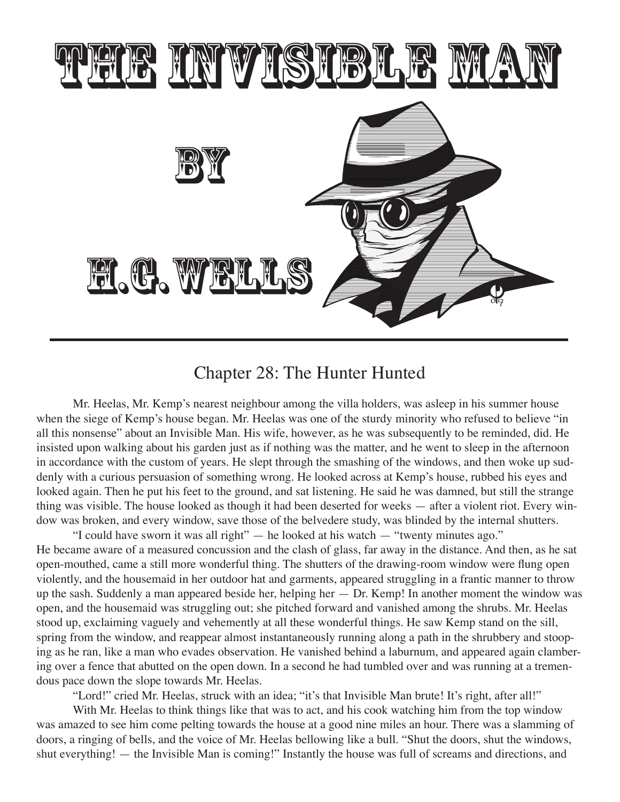

## Chapter 28: The Hunter Hunted

Mr. Heelas, Mr. Kemp's nearest neighbour among the villa holders, was asleep in his summer house when the siege of Kemp's house began. Mr. Heelas was one of the sturdy minority who refused to believe "in all this nonsense" about an Invisible Man. His wife, however, as he was subsequently to be reminded, did. He insisted upon walking about his garden just as if nothing was the matter, and he went to sleep in the afternoon in accordance with the custom of years. He slept through the smashing of the windows, and then woke up suddenly with a curious persuasion of something wrong. He looked across at Kemp's house, rubbed his eyes and looked again. Then he put his feet to the ground, and sat listening. He said he was damned, but still the strange thing was visible. The house looked as though it had been deserted for weeks — after a violent riot. Every window was broken, and every window, save those of the belvedere study, was blinded by the internal shutters.

"I could have sworn it was all right" — he looked at his watch — "twenty minutes ago." He became aware of a measured concussion and the clash of glass, far away in the distance. And then, as he sat open-mouthed, came a still more wonderful thing. The shutters of the drawing-room window were flung open violently, and the housemaid in her outdoor hat and garments, appeared struggling in a frantic manner to throw up the sash. Suddenly a man appeared beside her, helping her — Dr. Kemp! In another moment the window was open, and the housemaid was struggling out; she pitched forward and vanished among the shrubs. Mr. Heelas stood up, exclaiming vaguely and vehemently at all these wonderful things. He saw Kemp stand on the sill, spring from the window, and reappear almost instantaneously running along a path in the shrubbery and stooping as he ran, like a man who evades observation. He vanished behind a laburnum, and appeared again clambering over a fence that abutted on the open down. In a second he had tumbled over and was running at a tremendous pace down the slope towards Mr. Heelas.

"Lord!" cried Mr. Heelas, struck with an idea; "it's that Invisible Man brute! It's right, after all!"

With Mr. Heelas to think things like that was to act, and his cook watching him from the top window was amazed to see him come pelting towards the house at a good nine miles an hour. There was a slamming of doors, a ringing of bells, and the voice of Mr. Heelas bellowing like a bull. "Shut the doors, shut the windows, shut everything! — the Invisible Man is coming!" Instantly the house was full of screams and directions, and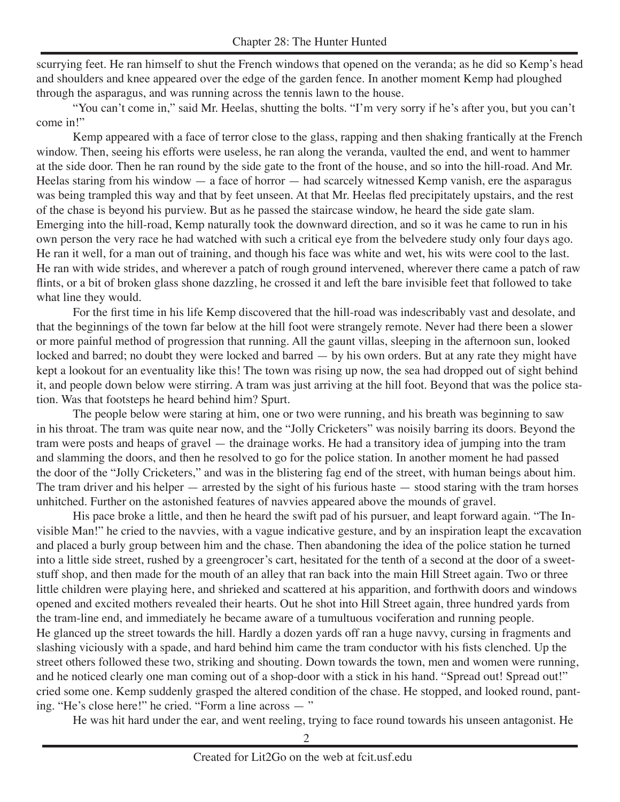scurrying feet. He ran himself to shut the French windows that opened on the veranda; as he did so Kemp's head and shoulders and knee appeared over the edge of the garden fence. In another moment Kemp had ploughed through the asparagus, and was running across the tennis lawn to the house.

"You can't come in," said Mr. Heelas, shutting the bolts. "I'm very sorry if he's after you, but you can't come in!"

Kemp appeared with a face of terror close to the glass, rapping and then shaking frantically at the French window. Then, seeing his efforts were useless, he ran along the veranda, vaulted the end, and went to hammer at the side door. Then he ran round by the side gate to the front of the house, and so into the hill-road. And Mr. Heelas staring from his window — a face of horror — had scarcely witnessed Kemp vanish, ere the asparagus was being trampled this way and that by feet unseen. At that Mr. Heelas fled precipitately upstairs, and the rest of the chase is beyond his purview. But as he passed the staircase window, he heard the side gate slam. Emerging into the hill-road, Kemp naturally took the downward direction, and so it was he came to run in his own person the very race he had watched with such a critical eye from the belvedere study only four days ago. He ran it well, for a man out of training, and though his face was white and wet, his wits were cool to the last. He ran with wide strides, and wherever a patch of rough ground intervened, wherever there came a patch of raw flints, or a bit of broken glass shone dazzling, he crossed it and left the bare invisible feet that followed to take what line they would.

For the first time in his life Kemp discovered that the hill-road was indescribably vast and desolate, and that the beginnings of the town far below at the hill foot were strangely remote. Never had there been a slower or more painful method of progression that running. All the gaunt villas, sleeping in the afternoon sun, looked locked and barred; no doubt they were locked and barred — by his own orders. But at any rate they might have kept a lookout for an eventuality like this! The town was rising up now, the sea had dropped out of sight behind it, and people down below were stirring. A tram was just arriving at the hill foot. Beyond that was the police station. Was that footsteps he heard behind him? Spurt.

The people below were staring at him, one or two were running, and his breath was beginning to saw in his throat. The tram was quite near now, and the "Jolly Cricketers" was noisily barring its doors. Beyond the tram were posts and heaps of gravel — the drainage works. He had a transitory idea of jumping into the tram and slamming the doors, and then he resolved to go for the police station. In another moment he had passed the door of the "Jolly Cricketers," and was in the blistering fag end of the street, with human beings about him. The tram driver and his helper  $-$  arrested by the sight of his furious haste  $-$  stood staring with the tram horses unhitched. Further on the astonished features of navvies appeared above the mounds of gravel.

His pace broke a little, and then he heard the swift pad of his pursuer, and leapt forward again. "The Invisible Man!" he cried to the navvies, with a vague indicative gesture, and by an inspiration leapt the excavation and placed a burly group between him and the chase. Then abandoning the idea of the police station he turned into a little side street, rushed by a greengrocer's cart, hesitated for the tenth of a second at the door of a sweetstuff shop, and then made for the mouth of an alley that ran back into the main Hill Street again. Two or three little children were playing here, and shrieked and scattered at his apparition, and forthwith doors and windows opened and excited mothers revealed their hearts. Out he shot into Hill Street again, three hundred yards from the tram-line end, and immediately he became aware of a tumultuous vociferation and running people. He glanced up the street towards the hill. Hardly a dozen yards off ran a huge navvy, cursing in fragments and slashing viciously with a spade, and hard behind him came the tram conductor with his fists clenched. Up the street others followed these two, striking and shouting. Down towards the town, men and women were running, and he noticed clearly one man coming out of a shop-door with a stick in his hand. "Spread out! Spread out!" cried some one. Kemp suddenly grasped the altered condition of the chase. He stopped, and looked round, panting. "He's close here!" he cried. "Form a line across — "

He was hit hard under the ear, and went reeling, trying to face round towards his unseen antagonist. He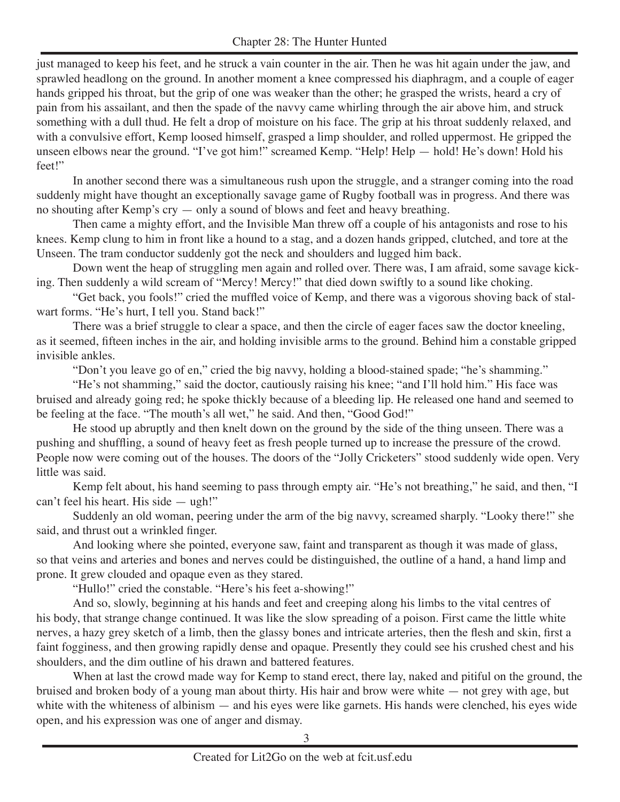just managed to keep his feet, and he struck a vain counter in the air. Then he was hit again under the jaw, and sprawled headlong on the ground. In another moment a knee compressed his diaphragm, and a couple of eager hands gripped his throat, but the grip of one was weaker than the other; he grasped the wrists, heard a cry of pain from his assailant, and then the spade of the navvy came whirling through the air above him, and struck something with a dull thud. He felt a drop of moisture on his face. The grip at his throat suddenly relaxed, and with a convulsive effort, Kemp loosed himself, grasped a limp shoulder, and rolled uppermost. He gripped the unseen elbows near the ground. "I've got him!" screamed Kemp. "Help! Help — hold! He's down! Hold his feet!"

In another second there was a simultaneous rush upon the struggle, and a stranger coming into the road suddenly might have thought an exceptionally savage game of Rugby football was in progress. And there was no shouting after Kemp's cry — only a sound of blows and feet and heavy breathing.

Then came a mighty effort, and the Invisible Man threw off a couple of his antagonists and rose to his knees. Kemp clung to him in front like a hound to a stag, and a dozen hands gripped, clutched, and tore at the Unseen. The tram conductor suddenly got the neck and shoulders and lugged him back.

Down went the heap of struggling men again and rolled over. There was, I am afraid, some savage kicking. Then suddenly a wild scream of "Mercy! Mercy!" that died down swiftly to a sound like choking.

"Get back, you fools!" cried the muffled voice of Kemp, and there was a vigorous shoving back of stalwart forms. "He's hurt, I tell you. Stand back!"

There was a brief struggle to clear a space, and then the circle of eager faces saw the doctor kneeling, as it seemed, fifteen inches in the air, and holding invisible arms to the ground. Behind him a constable gripped invisible ankles.

"Don't you leave go of en," cried the big navvy, holding a blood-stained spade; "he's shamming."

"He's not shamming," said the doctor, cautiously raising his knee; "and I'll hold him." His face was bruised and already going red; he spoke thickly because of a bleeding lip. He released one hand and seemed to be feeling at the face. "The mouth's all wet," he said. And then, "Good God!"

He stood up abruptly and then knelt down on the ground by the side of the thing unseen. There was a pushing and shuffling, a sound of heavy feet as fresh people turned up to increase the pressure of the crowd. People now were coming out of the houses. The doors of the "Jolly Cricketers" stood suddenly wide open. Very little was said.

Kemp felt about, his hand seeming to pass through empty air. "He's not breathing," he said, and then, "I can't feel his heart. His side — ugh!"

Suddenly an old woman, peering under the arm of the big navvy, screamed sharply. "Looky there!" she said, and thrust out a wrinkled finger.

And looking where she pointed, everyone saw, faint and transparent as though it was made of glass, so that veins and arteries and bones and nerves could be distinguished, the outline of a hand, a hand limp and prone. It grew clouded and opaque even as they stared.

"Hullo!" cried the constable. "Here's his feet a-showing!"

And so, slowly, beginning at his hands and feet and creeping along his limbs to the vital centres of his body, that strange change continued. It was like the slow spreading of a poison. First came the little white nerves, a hazy grey sketch of a limb, then the glassy bones and intricate arteries, then the flesh and skin, first a faint fogginess, and then growing rapidly dense and opaque. Presently they could see his crushed chest and his shoulders, and the dim outline of his drawn and battered features.

When at last the crowd made way for Kemp to stand erect, there lay, naked and pitiful on the ground, the bruised and broken body of a young man about thirty. His hair and brow were white — not grey with age, but white with the whiteness of albinism — and his eyes were like garnets. His hands were clenched, his eyes wide open, and his expression was one of anger and dismay.